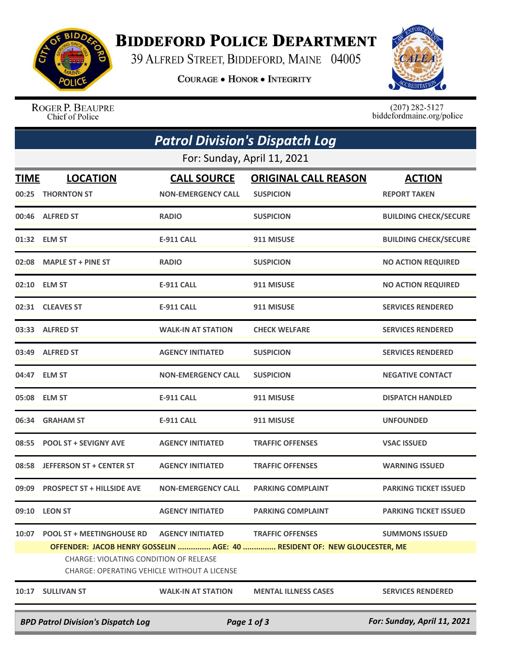

## **BIDDEFORD POLICE DEPARTMENT**

39 ALFRED STREET, BIDDEFORD, MAINE 04005

**COURAGE . HONOR . INTEGRITY** 



ROGER P. BEAUPRE Chief of Police

 $(207)$  282-5127<br>biddefordmaine.org/police

| <b>Patrol Division's Dispatch Log</b>                                                                                                                                           |                                           |                                                 |                                                 |                                      |  |  |  |  |
|---------------------------------------------------------------------------------------------------------------------------------------------------------------------------------|-------------------------------------------|-------------------------------------------------|-------------------------------------------------|--------------------------------------|--|--|--|--|
| For: Sunday, April 11, 2021                                                                                                                                                     |                                           |                                                 |                                                 |                                      |  |  |  |  |
| <b>TIME</b><br>00:25                                                                                                                                                            | <b>LOCATION</b><br><b>THORNTON ST</b>     | <b>CALL SOURCE</b><br><b>NON-EMERGENCY CALL</b> | <b>ORIGINAL CALL REASON</b><br><b>SUSPICION</b> | <b>ACTION</b><br><b>REPORT TAKEN</b> |  |  |  |  |
|                                                                                                                                                                                 | 00:46 ALFRED ST                           | <b>RADIO</b>                                    | <b>SUSPICION</b>                                | <b>BUILDING CHECK/SECURE</b>         |  |  |  |  |
|                                                                                                                                                                                 | 01:32 ELM ST                              | <b>E-911 CALL</b>                               | 911 MISUSE                                      | <b>BUILDING CHECK/SECURE</b>         |  |  |  |  |
| 02:08                                                                                                                                                                           | <b>MAPLE ST + PINE ST</b>                 | <b>RADIO</b>                                    | <b>SUSPICION</b>                                | <b>NO ACTION REQUIRED</b>            |  |  |  |  |
|                                                                                                                                                                                 | 02:10 ELM ST                              | <b>E-911 CALL</b>                               | 911 MISUSE                                      | <b>NO ACTION REQUIRED</b>            |  |  |  |  |
|                                                                                                                                                                                 | 02:31 CLEAVES ST                          | <b>E-911 CALL</b>                               | 911 MISUSE                                      | <b>SERVICES RENDERED</b>             |  |  |  |  |
|                                                                                                                                                                                 | 03:33 ALFRED ST                           | <b>WALK-IN AT STATION</b>                       | <b>CHECK WELFARE</b>                            | <b>SERVICES RENDERED</b>             |  |  |  |  |
|                                                                                                                                                                                 | 03:49 ALFRED ST                           | <b>AGENCY INITIATED</b>                         | <b>SUSPICION</b>                                | <b>SERVICES RENDERED</b>             |  |  |  |  |
|                                                                                                                                                                                 | 04:47 ELM ST                              | <b>NON-EMERGENCY CALL</b>                       | <b>SUSPICION</b>                                | <b>NEGATIVE CONTACT</b>              |  |  |  |  |
|                                                                                                                                                                                 | 05:08 ELM ST                              | <b>E-911 CALL</b>                               | 911 MISUSE                                      | <b>DISPATCH HANDLED</b>              |  |  |  |  |
| 06:34                                                                                                                                                                           | <b>GRAHAM ST</b>                          | <b>E-911 CALL</b>                               | 911 MISUSE                                      | <b>UNFOUNDED</b>                     |  |  |  |  |
| 08:55                                                                                                                                                                           | <b>POOL ST + SEVIGNY AVE</b>              | <b>AGENCY INITIATED</b>                         | <b>TRAFFIC OFFENSES</b>                         | <b>VSAC ISSUED</b>                   |  |  |  |  |
| 08:58                                                                                                                                                                           | <b>JEFFERSON ST + CENTER ST</b>           | <b>AGENCY INITIATED</b>                         | <b>TRAFFIC OFFENSES</b>                         | <b>WARNING ISSUED</b>                |  |  |  |  |
| 09:09                                                                                                                                                                           | <b>PROSPECT ST + HILLSIDE AVE</b>         | <b>NON-EMERGENCY CALL</b>                       | <b>PARKING COMPLAINT</b>                        | <b>PARKING TICKET ISSUED</b>         |  |  |  |  |
|                                                                                                                                                                                 | 09:10 LEON ST                             | <b>AGENCY INITIATED</b>                         | <b>PARKING COMPLAINT</b>                        | <b>PARKING TICKET ISSUED</b>         |  |  |  |  |
|                                                                                                                                                                                 | 10:07 POOL ST + MEETINGHOUSE RD           | <b>AGENCY INITIATED</b>                         | <b>TRAFFIC OFFENSES</b>                         | <b>SUMMONS ISSUED</b>                |  |  |  |  |
| OFFENDER: JACOB HENRY GOSSELIN  AGE: 40  RESIDENT OF: NEW GLOUCESTER, ME<br><b>CHARGE: VIOLATING CONDITION OF RELEASE</b><br><b>CHARGE: OPERATING VEHICLE WITHOUT A LICENSE</b> |                                           |                                                 |                                                 |                                      |  |  |  |  |
|                                                                                                                                                                                 | 10:17 SULLIVAN ST                         | <b>WALK-IN AT STATION</b>                       | <b>MENTAL ILLNESS CASES</b>                     | <b>SERVICES RENDERED</b>             |  |  |  |  |
|                                                                                                                                                                                 | <b>BPD Patrol Division's Dispatch Log</b> | For: Sunday, April 11, 2021                     |                                                 |                                      |  |  |  |  |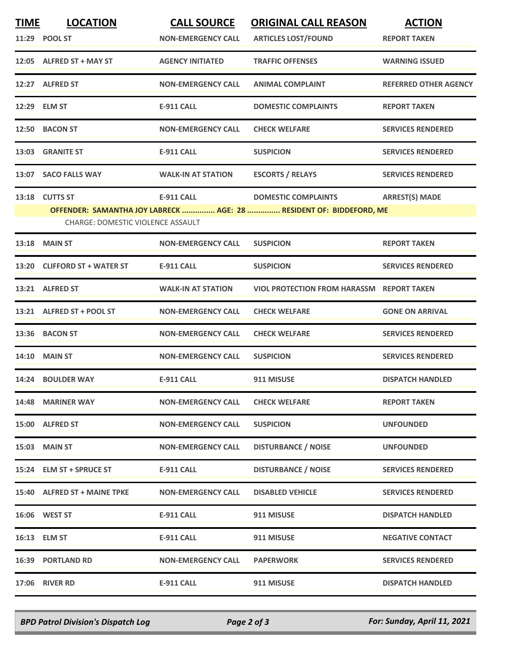| <b>TIME</b>                       | <b>LOCATION</b>              | <b>CALL SOURCE</b>        | <b>ORIGINAL CALL REASON</b>                                         | <b>ACTION</b>                |  |  |  |
|-----------------------------------|------------------------------|---------------------------|---------------------------------------------------------------------|------------------------------|--|--|--|
|                                   | 11:29 POOL ST                | <b>NON-EMERGENCY CALL</b> | <b>ARTICLES LOST/FOUND</b>                                          | <b>REPORT TAKEN</b>          |  |  |  |
|                                   | 12:05 ALFRED ST + MAY ST     | <b>AGENCY INITIATED</b>   | <b>TRAFFIC OFFENSES</b>                                             | <b>WARNING ISSUED</b>        |  |  |  |
|                                   | 12:27 ALFRED ST              | <b>NON-EMERGENCY CALL</b> | <b>ANIMAL COMPLAINT</b>                                             | <b>REFERRED OTHER AGENCY</b> |  |  |  |
|                                   | 12:29 ELM ST                 | <b>E-911 CALL</b>         | <b>DOMESTIC COMPLAINTS</b>                                          | <b>REPORT TAKEN</b>          |  |  |  |
|                                   | 12:50 BACON ST               | <b>NON-EMERGENCY CALL</b> | <b>CHECK WELFARE</b>                                                | <b>SERVICES RENDERED</b>     |  |  |  |
|                                   | 13:03 GRANITE ST             | <b>E-911 CALL</b>         | <b>SUSPICION</b>                                                    | <b>SERVICES RENDERED</b>     |  |  |  |
| 13:07                             | <b>SACO FALLS WAY</b>        | <b>WALK-IN AT STATION</b> | <b>ESCORTS / RELAYS</b>                                             | <b>SERVICES RENDERED</b>     |  |  |  |
|                                   | 13:18 CUTTS ST               | E-911 CALL                | <b>DOMESTIC COMPLAINTS</b>                                          | <b>ARREST(S) MADE</b>        |  |  |  |
|                                   |                              |                           | OFFENDER: SAMANTHA JOY LABRECK  AGE: 28  RESIDENT OF: BIDDEFORD, ME |                              |  |  |  |
| CHARGE: DOMESTIC VIOLENCE ASSAULT |                              |                           |                                                                     |                              |  |  |  |
|                                   | <b>13:18 MAIN ST</b>         | <b>NON-EMERGENCY CALL</b> | <b>SUSPICION</b>                                                    | <b>REPORT TAKEN</b>          |  |  |  |
|                                   | 13:20 CLIFFORD ST + WATER ST | <b>E-911 CALL</b>         | <b>SUSPICION</b>                                                    | <b>SERVICES RENDERED</b>     |  |  |  |
|                                   | 13:21 ALFRED ST              | <b>WALK-IN AT STATION</b> | VIOL PROTECTION FROM HARASSM REPORT TAKEN                           |                              |  |  |  |
|                                   | 13:21 ALFRED ST + POOL ST    | <b>NON-EMERGENCY CALL</b> | <b>CHECK WELFARE</b>                                                | <b>GONE ON ARRIVAL</b>       |  |  |  |
| 13:36                             | <b>BACON ST</b>              | <b>NON-EMERGENCY CALL</b> | <b>CHECK WELFARE</b>                                                | <b>SERVICES RENDERED</b>     |  |  |  |
|                                   | <b>14:10 MAIN ST</b>         | <b>NON-EMERGENCY CALL</b> | <b>SUSPICION</b>                                                    | <b>SERVICES RENDERED</b>     |  |  |  |
|                                   | 14:24 BOULDER WAY            | <b>E-911 CALL</b>         | 911 MISUSE                                                          | <b>DISPATCH HANDLED</b>      |  |  |  |
|                                   | 14:48 MARINER WAY            | <b>NON-EMERGENCY CALL</b> | <b>CHECK WELFARE</b>                                                | <b>REPORT TAKEN</b>          |  |  |  |
|                                   | 15:00 ALFRED ST              | <b>NON-EMERGENCY CALL</b> | <b>SUSPICION</b>                                                    | <b>UNFOUNDED</b>             |  |  |  |
|                                   | <b>15:03 MAIN ST</b>         | <b>NON-EMERGENCY CALL</b> | <b>DISTURBANCE / NOISE</b>                                          | <b>UNFOUNDED</b>             |  |  |  |
|                                   | 15:24 ELM ST + SPRUCE ST     | E-911 CALL                | <b>DISTURBANCE / NOISE</b>                                          | <b>SERVICES RENDERED</b>     |  |  |  |
|                                   | 15:40 ALFRED ST + MAINE TPKE | <b>NON-EMERGENCY CALL</b> | <b>DISABLED VEHICLE</b>                                             | <b>SERVICES RENDERED</b>     |  |  |  |
|                                   | <b>16:06 WEST ST</b>         | E-911 CALL                | 911 MISUSE                                                          | <b>DISPATCH HANDLED</b>      |  |  |  |
|                                   | 16:13 ELM ST                 | <b>E-911 CALL</b>         | 911 MISUSE                                                          | <b>NEGATIVE CONTACT</b>      |  |  |  |
|                                   | <b>16:39 PORTLAND RD</b>     | <b>NON-EMERGENCY CALL</b> | <b>PAPERWORK</b>                                                    | <b>SERVICES RENDERED</b>     |  |  |  |
|                                   | <b>17:06 RIVER RD</b>        | E-911 CALL                | 911 MISUSE                                                          | <b>DISPATCH HANDLED</b>      |  |  |  |

*BPD Patrol Division's Dispatch Log Page 2 of 3 For: Sunday, April 11, 2021*